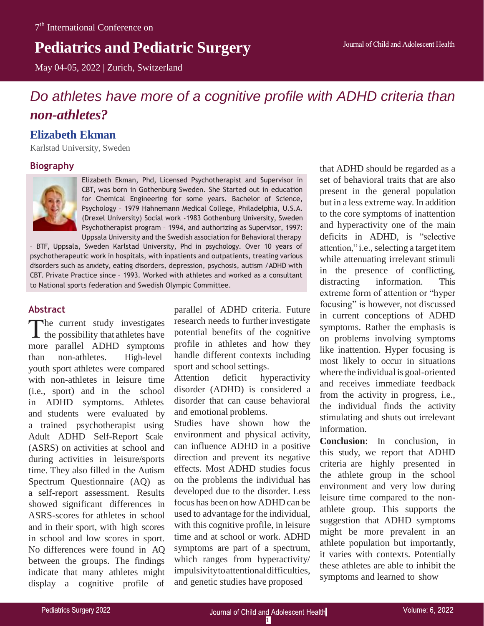# **Pediatrics and Pediatric Surgery**

May 04-05, 2022 | Zurich, Switzerland

## *Do athletes have more of a cognitive profile with ADHD criteria than non-athletes?*

## **Elizabeth Ekman**

Karlstad University, Sweden

### **Biography**



Elizabeth Ekman, Phd, Licensed Psychotherapist and Supervisor in CBT, was born in Gothenburg Sweden. She Started out in education for Chemical Engineering for some years. Bachelor of Science, Psychology – 1979 Hahnemann Medical College, Philadelphia, U.S.A. (Drexel University) Social work -1983 Gothenburg University, Sweden Psychotherapist program – 1994, and authorizing as Supervisor, 1997: Uppsala University and the Swedish association for Behavioral therapy

– BTF, Uppsala, Sweden Karlstad University, Phd in psychology. Over 10 years of psychotherapeutic work in hospitals, with inpatients and outpatients, treating various disorders such as anxiety, eating disorders, depression, psychosis, autism /ADHD with CBT. Private Practice since – 1993. Worked with athletes and worked as a consultant to National sports federation and Swedish Olympic Committee.

### **Abstract**

The current study investigates  $\blacktriangle$  the possibility that athletes have more parallel ADHD symptoms than non-athletes. High-level youth sport athletes were compared with non-athletes in leisure time (i.e., sport) and in the school in ADHD symptoms. Athletes and students were evaluated by a trained psychotherapist using Adult ADHD Self-Report Scale (ASRS) on activities at school and during activities in leisure/sports time. They also filled in the Autism Spectrum Questionnaire (AQ) as a self-report assessment. Results showed significant differences in ASRS-scores for athletes in school and in their sport, with high scores in school and low scores in sport. No differences were found in AQ between the groups. The findings indicate that many athletes might display a cognitive profile of

parallel of ADHD criteria. Future research needs to further investigate potential benefits of the cognitive profile in athletes and how they handle different contexts including sport and school settings.

Attention deficit hyperactivity disorder (ADHD) is considered a disorder that can cause behavioral and emotional problems.

Studies have shown how the environment and physical activity, can influence ADHD in a positive direction and prevent its negative effects. Most ADHD studies focus on the problems the individual has developed due to the disorder. Less focus has been on how ADHD can be used to advantage for the individual, with this cognitive profile, in leisure time and at school or work. ADHD symptoms are part of a spectrum, which ranges from hyperactivity/ impulsivitytoattentionaldifficulties, and genetic studies have proposed

that ADHD should be regarded as a set of behavioral traits that are also present in the general population but in a less extreme way. In addition to the core symptoms of inattention and hyperactivity one of the main deficits in ADHD, is "selective attention," i.e., selecting a target item while attenuating irrelevant stimuli in the presence of conflicting, distracting information. This extreme form of attention or "hyper focusing" is however, not discussed in current conceptions of ADHD symptoms. Rather the emphasis is on problems involving symptoms like inattention. Hyper focusing is most likely to occur in situations where the individual is goal-oriented and receives immediate feedback from the activity in progress, i.e., the individual finds the activity stimulating and shuts out irrelevant information.

**Conclusion**: In conclusion, in this study, we report that ADHD criteria are highly presented in the athlete group in the school environment and very low during leisure time compared to the nonathlete group. This supports the suggestion that ADHD symptoms might be more prevalent in an athlete population but importantly, it varies with contexts. Potentially these athletes are able to inhibit the symptoms and learned to show